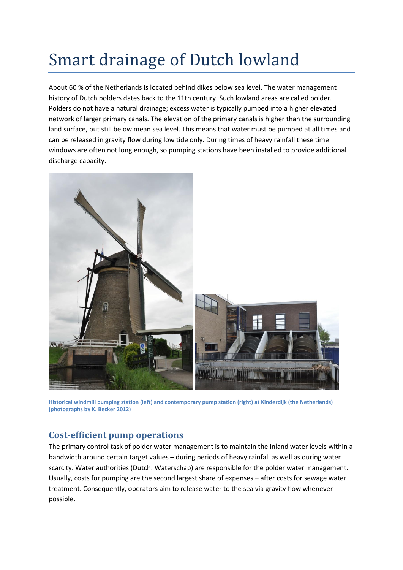## Smart drainage of Dutch lowland

About 60 % of the Netherlands is located behind dikes below sea level. The water management history of Dutch polders dates back to the 11th century. Such lowland areas are called polder. Polders do not have a natural drainage; excess water is typically pumped into a higher elevated network of larger primary canals. The elevation of the primary canals is higher than the surrounding land surface, but still below mean sea level. This means that water must be pumped at all times and can be released in gravity flow during low tide only. During times of heavy rainfall these time windows are often not long enough, so pumping stations have been installed to provide additional discharge capacity.



**Historical windmill pumping station (left) and contemporary pump station (right) at Kinderdijk (the Netherlands) (photographs by K. Becker 2012)**

## **Cost-efficient pump operations**

The primary control task of polder water management is to maintain the inland water levels within a bandwidth around certain target values – during periods of heavy rainfall as well as during water scarcity. Water authorities (Dutch: Waterschap) are responsible for the polder water management. Usually, costs for pumping are the second largest share of expenses – after costs for sewage water treatment. Consequently, operators aim to release water to the sea via gravity flow whenever possible.